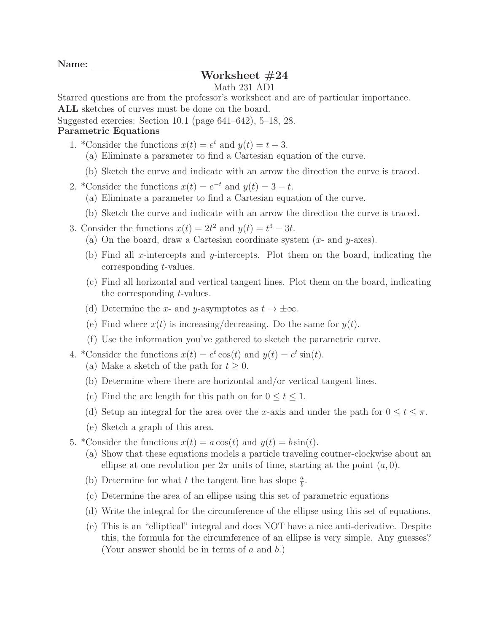Name:

## Worksheet #24

## Math 231 AD1

Starred questions are from the professor's worksheet and are of particular importance.

ALL sketches of curves must be done on the board.

Suggested exercies: Section 10.1 (page 641–642), 5–18, 28.

## Parametric Equations

- 1. \*Consider the functions  $x(t) = e^t$  and  $y(t) = t + 3$ .
	- (a) Eliminate a parameter to find a Cartesian equation of the curve.
	- (b) Sketch the curve and indicate with an arrow the direction the curve is traced.
- 2. \*Consider the functions  $x(t) = e^{-t}$  and  $y(t) = 3 t$ .
	- (a) Eliminate a parameter to find a Cartesian equation of the curve.
	- (b) Sketch the curve and indicate with an arrow the direction the curve is traced.
- 3. Consider the functions  $x(t) = 2t^2$  and  $y(t) = t^3 3t$ .
	- (a) On the board, draw a Cartesian coordinate system  $(x-$  and  $y$ -axes).
	- (b) Find all x-intercepts and y-intercepts. Plot them on the board, indicating the corresponding t-values.
	- (c) Find all horizontal and vertical tangent lines. Plot them on the board, indicating the corresponding t-values.
	- (d) Determine the x- and y-asymptotes as  $t \to \pm \infty$ .
	- (e) Find where  $x(t)$  is increasing/decreasing. Do the same for  $y(t)$ .
	- (f) Use the information you've gathered to sketch the parametric curve.
- 4. \*Consider the functions  $x(t) = e^t \cos(t)$  and  $y(t) = e^t \sin(t)$ .
	- (a) Make a sketch of the path for  $t \geq 0$ .
	- (b) Determine where there are horizontal and/or vertical tangent lines.
	- (c) Find the arc length for this path on for  $0 \le t \le 1$ .
	- (d) Setup an integral for the area over the x-axis and under the path for  $0 \le t \le \pi$ .
	- (e) Sketch a graph of this area.
- 5. \*Consider the functions  $x(t) = a \cos(t)$  and  $y(t) = b \sin(t)$ .
	- (a) Show that these equations models a particle traveling coutner-clockwise about an ellipse at one revolution per  $2\pi$  units of time, starting at the point  $(a, 0)$ .
	- (b) Determine for what t the tangent line has slope  $\frac{a}{b}$ .
	- (c) Determine the area of an ellipse using this set of parametric equations
	- (d) Write the integral for the circumference of the ellipse using this set of equations.
	- (e) This is an "elliptical" integral and does NOT have a nice anti-derivative. Despite this, the formula for the circumference of an ellipse is very simple. Any guesses? (Your answer should be in terms of a and b.)